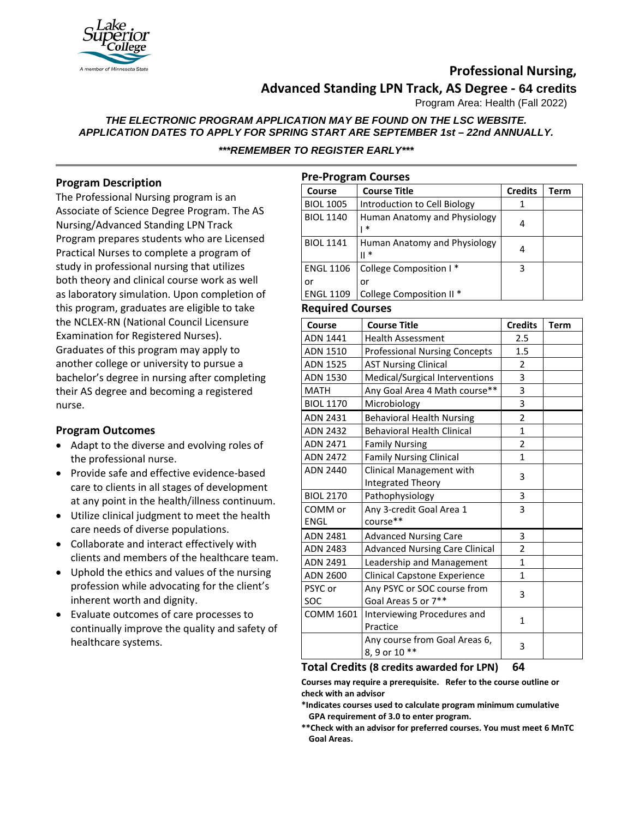

# **Professional Nursing,**

# **Advanced Standing LPN Track, AS Degree - 64 credits**

Program Area: Health (Fall 2022)

*THE ELECTRONIC PROGRAM APPLICATION MAY BE FOUND ON THE LSC WEBSITE. APPLICATION DATES TO APPLY FOR SPRING START ARE SEPTEMBER 1st – 22nd ANNUALLY. \*\*\*REMEMBER TO REGISTER EARLY\*\*\**

## **Program Description**

The Professional Nursing program is an Associate of Science Degree Program. The AS Nursing/Advanced Standing LPN Track Program prepares students who are Licensed Practical Nurses to complete a program of study in professional nursing that utilizes both theory and clinical course work as well as laboratory simulation. Upon completion of this program, graduates are eligible to take the NCLEX-RN (National Council Licensure Examination for Registered Nurses). Graduates of this program may apply to another college or university to pursue a bachelor's degree in nursing after completing their AS degree and becoming a registered nurse.

### **Program Outcomes**

- Adapt to the diverse and evolving roles of the professional nurse.
- Provide safe and effective evidence-based care to clients in all stages of development at any point in the health/illness continuum.
- Utilize clinical judgment to meet the health care needs of diverse populations.
- Collaborate and interact effectively with clients and members of the healthcare team.
- Uphold the ethics and values of the nursing profession while advocating for the client's inherent worth and dignity.
- Evaluate outcomes of care processes to continually improve the quality and safety of healthcare systems.

| <b>Pre-Program Courses</b> |                                        |                |      |  |
|----------------------------|----------------------------------------|----------------|------|--|
| Course                     | <b>Course Title</b>                    | <b>Credits</b> | Term |  |
| <b>BIOL 1005</b>           | Introduction to Cell Biology           | 1              |      |  |
| <b>BIOL 1140</b>           | Human Anatomy and Physiology<br>$\ast$ | 4              |      |  |
| <b>BIOL 1141</b>           | Human Anatomy and Physiology<br>∥ *    | 4              |      |  |
| <b>ENGL 1106</b>           | College Composition I*                 | 3              |      |  |
| or                         | or                                     |                |      |  |
| <b>ENGL 1109</b>           | College Composition II *               |                |      |  |

#### **Required Courses**

| Course           | <b>Course Title</b>                   | <b>Credits</b> | <b>Term</b> |
|------------------|---------------------------------------|----------------|-------------|
| ADN 1441         | <b>Health Assessment</b>              | 2.5            |             |
| ADN 1510         | <b>Professional Nursing Concepts</b>  | 1.5            |             |
| <b>ADN 1525</b>  | <b>AST Nursing Clinical</b>           | $\overline{2}$ |             |
| ADN 1530         | Medical/Surgical Interventions        | 3              |             |
| <b>MATH</b>      | Any Goal Area 4 Math course**         | 3              |             |
| <b>BIOL 1170</b> | Microbiology                          | 3              |             |
| <b>ADN 2431</b>  | <b>Behavioral Health Nursing</b>      | 2              |             |
| <b>ADN 2432</b>  | <b>Behavioral Health Clinical</b>     | $\mathbf{1}$   |             |
| <b>ADN 2471</b>  | <b>Family Nursing</b>                 | $\overline{2}$ |             |
| <b>ADN 2472</b>  | <b>Family Nursing Clinical</b>        | 1              |             |
| ADN 2440         | Clinical Management with              | 3              |             |
|                  | Integrated Theory                     |                |             |
| <b>BIOL 2170</b> | Pathophysiology                       | 3              |             |
| COMM or          | Any 3-credit Goal Area 1              | $\overline{3}$ |             |
| <b>ENGL</b>      | course**                              |                |             |
| <b>ADN 2481</b>  | <b>Advanced Nursing Care</b>          | 3              |             |
| <b>ADN 2483</b>  | <b>Advanced Nursing Care Clinical</b> | 2              |             |
| ADN 2491         | Leadership and Management             | $\mathbf{1}$   |             |
| ADN 2600         | <b>Clinical Capstone Experience</b>   | $\mathbf{1}$   |             |
| PSYC or          | Any PSYC or SOC course from           | 3              |             |
| SOC              | Goal Areas 5 or 7**                   |                |             |
| <b>COMM 1601</b> | Interviewing Procedures and           | 1              |             |
|                  | Practice                              |                |             |
|                  | Any course from Goal Areas 6,         | 3              |             |
|                  | 8, 9 or 10 **                         |                |             |

#### **Total Credits (8 credits awarded for LPN) 64**

**Courses may require a prerequisite. Refer to the course outline or check with an advisor**

- **\*Indicates courses used to calculate program minimum cumulative GPA requirement of 3.0 to enter program.**
- **\*\*Check with an advisor for preferred courses. You must meet 6 MnTC Goal Areas.**